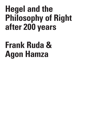## **Hegel and the Philosophy of Right after 200 years**

## **Frank Ruda & Agon Hamza**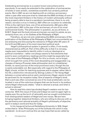Celebrating anniversaries is a custom known everywhere and to everybody. It can easily be extended to the celebration of anniversaries of books or even artistic, sometimes scientific but certainly political events. But in 2021 we are not dealing with an ordinary anniversary: rather a year after everyone tried to celebrate the 250th birthday of one of the most important thinkers in the history of modern philosophy without being properly able to due to a pandemic (sometimes, there is no only reason, but also a virus in history), 2021 offers an occasion to celebrate, if this is the right term here, one of his achievements. 200 years after its publication, 2021 is the year of the anniversary of one of his most controversial books. The philosopher in question, as you all know, is G.W.F. Hegel and the book whose anniversary we want to salute, as you certainly know, too, is his *Outlines of the Philosophy of Right*.

Therefore, we are not only celebrating the 200th anniversary of the publication of the *Outlines of the Philosophy of Right*, but concomitantly we are analysing and discussing the relevance of Hegel after 251 years of his birth and 200 years of his most important political work.

 Hegel's philosophical system in general is often, if not mostly characterized as difficult. Part of this difficulty is that it is not easy, maybe even impossible to identify within it only an ideological or political orientation - rather one always seems to find elements that point to even contradictory readings and this might be especially true in the case of the *Philosophy of Right*. For this is a book, not to forget, which brought him some of the most devastating and exaggerated: e.g. charges of being a Prussian state philosopher and /or a totalitarian thinker, to name just two of the most prominent ones ( though the list is easily extendable on). But especially with regard to the *Philosophy of Right*, a book, written for teaching purposes and to appear rather late in his life, a distinction introduced by Göorgy Lukács in *The Young Hegel* between a conservative and an early revolutionary Hegel, seems to still be pertinent for its reception today. One of aspects of Hegel's book that is and was often conceived as one of its most problematic can be located in one of the notorious slogans that can be found in its preface, where Hegel infamously states: "what is rational is actual, and what is actual is rational."

How to read this claim has divided Hegel's readers now for two centuries. With this issue of *Crisis and Critique* we want to again light or, maybe even fire up the torch of rationality and we sought contributions from distinguished readers of Hegel and new voices. We are here bringing together dialectical thinkers, who are willing to discuss with us the pertinence and rational actuality of Hegel's philosophy of objective spirit in today's world and thus for today.

In his inaugural lecture at Heidelberg University in 1816, Hegel writes that to "draw Philosophy out of the solitude into which it was wandered - to do such work as this we may hope that we are called by C R  $\mathbf{I}$ S I S & C R I T  $\mathbf{I}$ 

5